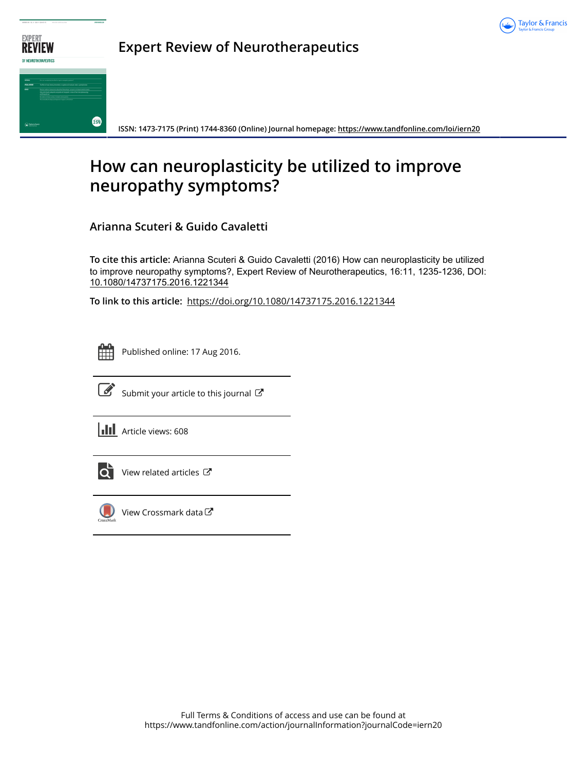



**Expert Review of Neurotherapeutics**

**ISSN: 1473-7175 (Print) 1744-8360 (Online) Journal homepage:<https://www.tandfonline.com/loi/iern20>**

# **How can neuroplasticity be utilized to improve neuropathy symptoms?**

**Arianna Scuteri & Guido Cavaletti**

**To cite this article:** Arianna Scuteri & Guido Cavaletti (2016) How can neuroplasticity be utilized to improve neuropathy symptoms?, Expert Review of Neurotherapeutics, 16:11, 1235-1236, DOI: [10.1080/14737175.2016.1221344](https://www.tandfonline.com/action/showCitFormats?doi=10.1080/14737175.2016.1221344)

**To link to this article:** <https://doi.org/10.1080/14737175.2016.1221344>

Published online: 17 Aug 2016.



 $\overrightarrow{S}$  [Submit your article to this journal](https://www.tandfonline.com/action/authorSubmission?journalCode=iern20&show=instructions)  $\overrightarrow{S}$ 

**III** Article views: 608



[View related articles](https://www.tandfonline.com/doi/mlt/10.1080/14737175.2016.1221344) C



[View Crossmark data](http://crossmark.crossref.org/dialog/?doi=10.1080/14737175.2016.1221344&domain=pdf&date_stamp=2016-08-08)<sup>で</sup>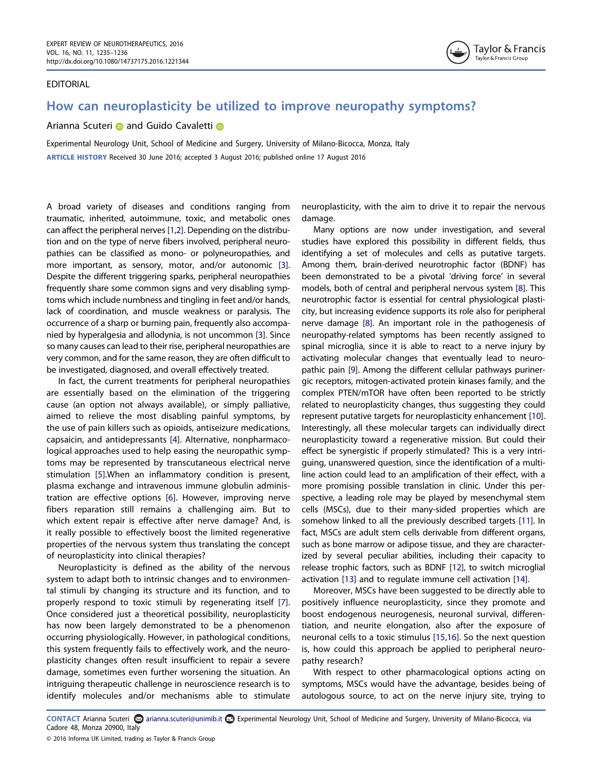#### EDITORIAL



# How can neuroplasticity be utilized to improve neuropathy symptoms?

### Ar[i](http://orcid.org/0000-0003-4128-2406)anna Scuteri **and Guido Cavaletti and**

Experimental Neurology Unit, School of Medicine and Surgery, University of Milano-Bicocca, Monza, Italy ARTICLE HISTORY Received 30 June 2016; accepted 3 August 2016; published online 17 August 2016

<span id="page-1-0"></span>A broad variety of diseases and conditions ranging from traumatic, inherited, autoimmune, toxic, and metabolic ones can affect the peripheral nerves [[1,](#page-2-0)[2](#page-2-1)]. Depending on the distribution and on the type of nerve fibers involved, peripheral neuropathies can be classified as mono- or polyneuropathies, and more important, as sensory, motor, and/or autonomic [\[3](#page-2-2)]. Despite the different triggering sparks, peripheral neuropathies frequently share some common signs and very disabling symptoms which include numbness and tingling in feet and/or hands, lack of coordination, and muscle weakness or paralysis. The occurrence of a sharp or burning pain, frequently also accompanied by hyperalgesia and allodynia, is not uncommon [[3\]](#page-2-2). Since so many causes can lead to their rise, peripheral neuropathies are very common, and for the same reason, they are often difficult to be investigated, diagnosed, and overall effectively treated.

<span id="page-1-3"></span><span id="page-1-2"></span><span id="page-1-1"></span>In fact, the current treatments for peripheral neuropathies are essentially based on the elimination of the triggering cause (an option not always available), or simply palliative, aimed to relieve the most disabling painful symptoms, by the use of pain killers such as opioids, antiseizure medications, capsaicin, and antidepressants [[4\]](#page-2-3). Alternative, nonpharmacological approaches used to help easing the neuropathic symptoms may be represented by transcutaneous electrical nerve stimulation [[5\]](#page-2-4).When an inflammatory condition is present, plasma exchange and intravenous immune globulin administration are effective options [\[6](#page-2-5)]. However, improving nerve fibers reparation still remains a challenging aim. But to which extent repair is effective after nerve damage? And, is it really possible to effectively boost the limited regenerative properties of the nervous system thus translating the concept of neuroplasticity into clinical therapies?

<span id="page-1-5"></span><span id="page-1-4"></span>Neuroplasticity is defined as the ability of the nervous system to adapt both to intrinsic changes and to environmental stimuli by changing its structure and its function, and to properly respond to toxic stimuli by regenerating itself [\[7](#page-2-6)]. Once considered just a theoretical possibility, neuroplasticity has now been largely demonstrated to be a phenomenon occurring physiologically. However, in pathological conditions, this system frequently fails to effectively work, and the neuroplasticity changes often result insufficient to repair a severe damage, sometimes even further worsening the situation. An intriguing therapeutic challenge in neuroscience research is to identify molecules and/or mechanisms able to stimulate

neuroplasticity, with the aim to drive it to repair the nervous damage.

<span id="page-1-7"></span><span id="page-1-6"></span>Many options are now under investigation, and several studies have explored this possibility in different fields, thus identifying a set of molecules and cells as putative targets. Among them, brain-derived neurotrophic factor (BDNF) has been demonstrated to be a pivotal 'driving force' in several models, both of central and peripheral nervous system [[8](#page-2-7)]. This neurotrophic factor is essential for central physiological plasticity, but increasing evidence supports its role also for peripheral nerve damage [\[8\]](#page-2-7). An important role in the pathogenesis of neuropathy-related symptoms has been recently assigned to spinal microglia, since it is able to react to a nerve injury by activating molecular changes that eventually lead to neuropathic pain [\[9\]](#page-2-8). Among the different cellular pathways purinergic receptors, mitogen-activated protein kinases family, and the complex PTEN/mTOR have often been reported to be strictly related to neuroplasticity changes, thus suggesting they could represent putative targets for neuroplasticity enhancement [\[10\]](#page-2-9). Interestingly, all these molecular targets can individually direct neuroplasticity toward a regenerative mission. But could their effect be synergistic if properly stimulated? This is a very intriguing, unanswered question, since the identification of a multiline action could lead to an amplification of their effect, with a more promising possible translation in clinic. Under this perspective, a leading role may be played by mesenchymal stem cells (MSCs), due to their many-sided properties which are somehow linked to all the previously described targets [[11](#page-2-10)]. In fact, MSCs are adult stem cells derivable from different organs, such as bone marrow or adipose tissue, and they are characterized by several peculiar abilities, including their capacity to release trophic factors, such as BDNF [\[12\]](#page-2-11), to switch microglial activation [[13](#page-2-12)] and to regulate immune cell activation [\[14\]](#page-2-13).

<span id="page-1-11"></span><span id="page-1-10"></span><span id="page-1-9"></span><span id="page-1-8"></span>Moreover, MSCs have been suggested to be directly able to positively influence neuroplasticity, since they promote and boost endogenous neurogenesis, neuronal survival, differentiation, and neurite elongation, also after the exposure of neuronal cells to a toxic stimulus [[15](#page-2-14)[,16](#page-2-15)]. So the next question is, how could this approach be applied to peripheral neuropathy research?

<span id="page-1-12"></span>With respect to other pharmacological options acting on symptoms, MSCs would have the advantage, besides being of autologous source, to act on the nerve injury site, trying to

CONTACT Arianna Scuteri a arianna.scuteri@unimib.it **Experimental Neurology Unit, School of Medicine and Surgery, University of Milano-Bicocca, via** Cadore 48, Monza 20900, Italy